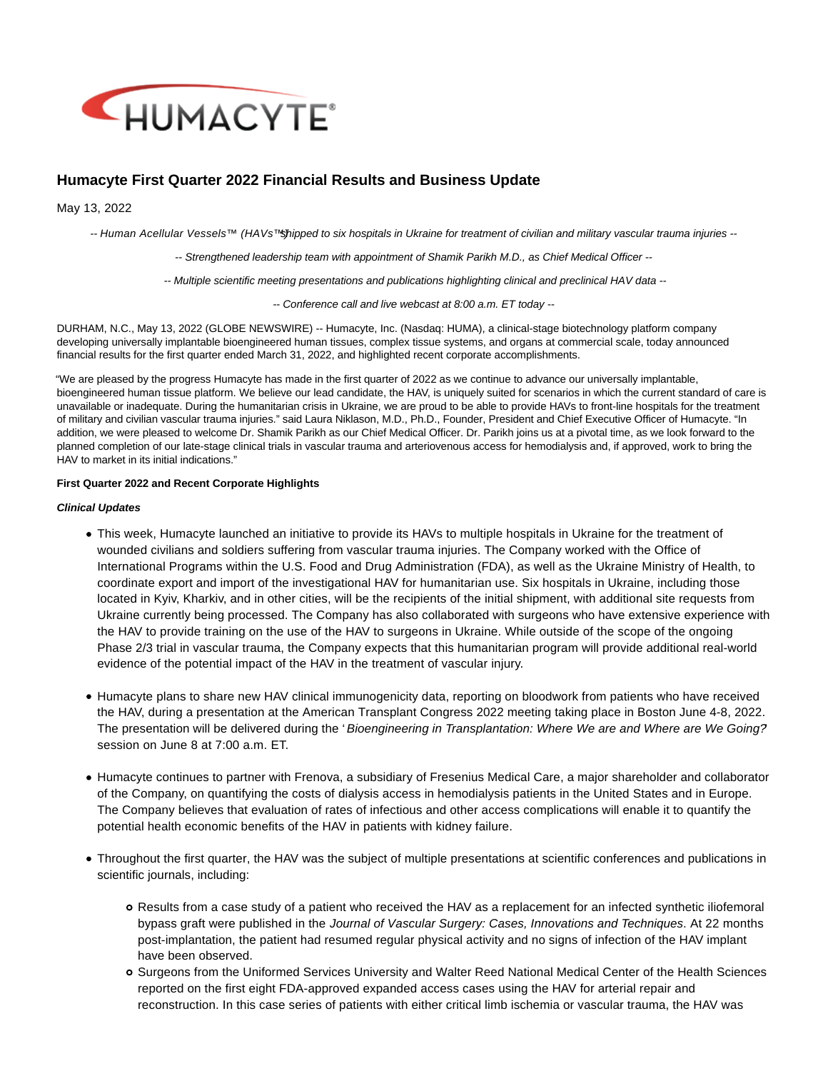

# **Humacyte First Quarter 2022 Financial Results and Business Update**

May 13, 2022

-- Human Acellular Vessels™ (HAVs™shipped to six hospitals in Ukraine for treatment of civilian and military vascular trauma injuries --

-- Strengthened leadership team with appointment of Shamik Parikh M.D., as Chief Medical Officer --

-- Multiple scientific meeting presentations and publications highlighting clinical and preclinical HAV data --

-- Conference call and live webcast at 8:00 a.m. ET today --

DURHAM, N.C., May 13, 2022 (GLOBE NEWSWIRE) -- Humacyte, Inc. (Nasdaq: HUMA), a clinical-stage biotechnology platform company developing universally implantable bioengineered human tissues, complex tissue systems, and organs at commercial scale, today announced financial results for the first quarter ended March 31, 2022, and highlighted recent corporate accomplishments.

"We are pleased by the progress Humacyte has made in the first quarter of 2022 as we continue to advance our universally implantable, bioengineered human tissue platform. We believe our lead candidate, the HAV, is uniquely suited for scenarios in which the current standard of care is unavailable or inadequate. During the humanitarian crisis in Ukraine, we are proud to be able to provide HAVs to front-line hospitals for the treatment of military and civilian vascular trauma injuries." said Laura Niklason, M.D., Ph.D., Founder, President and Chief Executive Officer of Humacyte. "In addition, we were pleased to welcome Dr. Shamik Parikh as our Chief Medical Officer. Dr. Parikh joins us at a pivotal time, as we look forward to the planned completion of our late-stage clinical trials in vascular trauma and arteriovenous access for hemodialysis and, if approved, work to bring the HAV to market in its initial indications."

## **First Quarter 2022 and Recent Corporate Highlights**

## **Clinical Updates**

- This week, Humacyte launched an initiative to provide its HAVs to multiple hospitals in Ukraine for the treatment of wounded civilians and soldiers suffering from vascular trauma injuries. The Company worked with the Office of International Programs within the U.S. Food and Drug Administration (FDA), as well as the Ukraine Ministry of Health, to coordinate export and import of the investigational HAV for humanitarian use. Six hospitals in Ukraine, including those located in Kyiv, Kharkiv, and in other cities, will be the recipients of the initial shipment, with additional site requests from Ukraine currently being processed. The Company has also collaborated with surgeons who have extensive experience with the HAV to provide training on the use of the HAV to surgeons in Ukraine. While outside of the scope of the ongoing Phase 2/3 trial in vascular trauma, the Company expects that this humanitarian program will provide additional real-world evidence of the potential impact of the HAV in the treatment of vascular injury.
- Humacyte plans to share new HAV clinical immunogenicity data, reporting on bloodwork from patients who have received the HAV, during a presentation at the American Transplant Congress 2022 meeting taking place in Boston June 4-8, 2022. The presentation will be delivered during the 'Bioengineering in Transplantation: Where We are and Where are We Going? session on June 8 at 7:00 a.m. ET.
- Humacyte continues to partner with Frenova, a subsidiary of Fresenius Medical Care, a major shareholder and collaborator of the Company, on quantifying the costs of dialysis access in hemodialysis patients in the United States and in Europe. The Company believes that evaluation of rates of infectious and other access complications will enable it to quantify the potential health economic benefits of the HAV in patients with kidney failure.
- Throughout the first quarter, the HAV was the subject of multiple presentations at scientific conferences and publications in scientific journals, including:
	- Results from a case study of a patient who received the HAV as a replacement for an infected synthetic iliofemoral bypass graft were published in the Journal of Vascular Surgery: Cases, Innovations and Techniques. At 22 months post-implantation, the patient had resumed regular physical activity and no signs of infection of the HAV implant have been observed.
	- Surgeons from the Uniformed Services University and Walter Reed National Medical Center of the Health Sciences reported on the first eight FDA-approved expanded access cases using the HAV for arterial repair and reconstruction. In this case series of patients with either critical limb ischemia or vascular trauma, the HAV was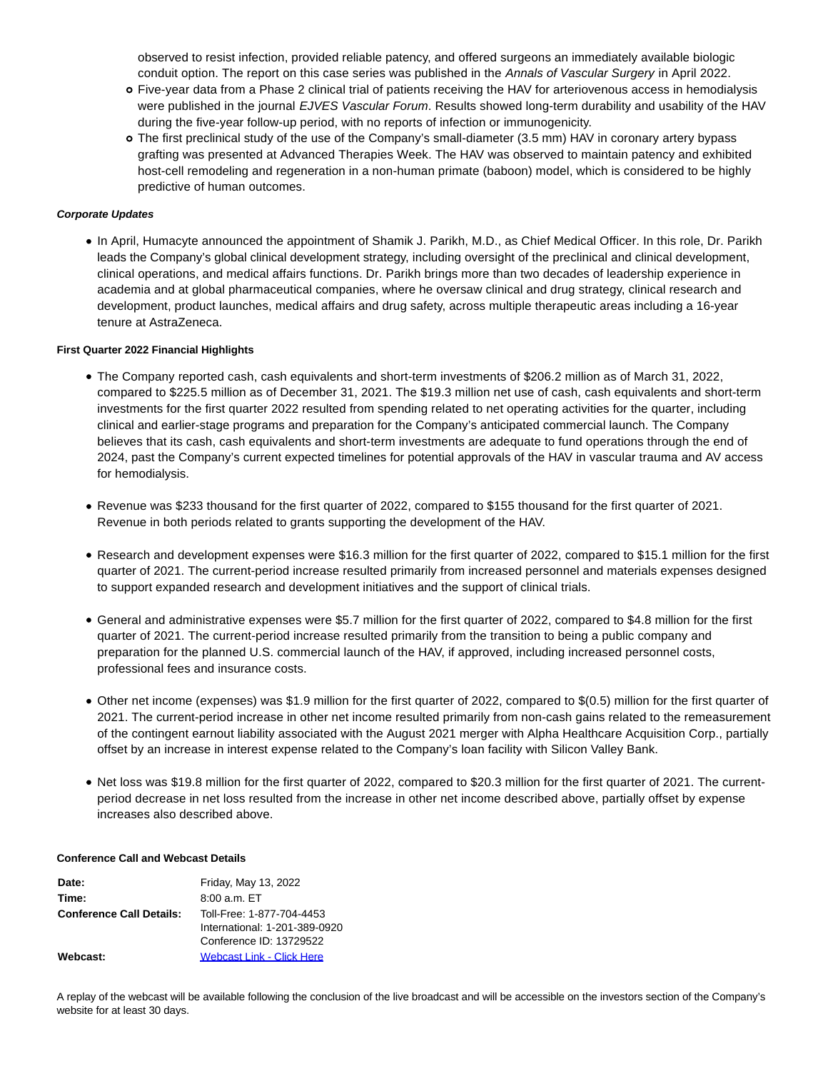observed to resist infection, provided reliable patency, and offered surgeons an immediately available biologic conduit option. The report on this case series was published in the Annals of Vascular Surgery in April 2022.

- Five-year data from a Phase 2 clinical trial of patients receiving the HAV for arteriovenous access in hemodialysis were published in the journal EJVES Vascular Forum. Results showed long-term durability and usability of the HAV during the five-year follow-up period, with no reports of infection or immunogenicity.
- The first preclinical study of the use of the Company's small-diameter (3.5 mm) HAV in coronary artery bypass grafting was presented at Advanced Therapies Week. The HAV was observed to maintain patency and exhibited host-cell remodeling and regeneration in a non-human primate (baboon) model, which is considered to be highly predictive of human outcomes.

## **Corporate Updates**

In April, Humacyte announced the appointment of Shamik J. Parikh, M.D., as Chief Medical Officer. In this role, Dr. Parikh leads the Company's global clinical development strategy, including oversight of the preclinical and clinical development, clinical operations, and medical affairs functions. Dr. Parikh brings more than two decades of leadership experience in academia and at global pharmaceutical companies, where he oversaw clinical and drug strategy, clinical research and development, product launches, medical affairs and drug safety, across multiple therapeutic areas including a 16-year tenure at AstraZeneca.

## **First Quarter 2022 Financial Highlights**

- The Company reported cash, cash equivalents and short-term investments of \$206.2 million as of March 31, 2022, compared to \$225.5 million as of December 31, 2021. The \$19.3 million net use of cash, cash equivalents and short-term investments for the first quarter 2022 resulted from spending related to net operating activities for the quarter, including clinical and earlier-stage programs and preparation for the Company's anticipated commercial launch. The Company believes that its cash, cash equivalents and short-term investments are adequate to fund operations through the end of 2024, past the Company's current expected timelines for potential approvals of the HAV in vascular trauma and AV access for hemodialysis.
- Revenue was \$233 thousand for the first quarter of 2022, compared to \$155 thousand for the first quarter of 2021. Revenue in both periods related to grants supporting the development of the HAV.
- Research and development expenses were \$16.3 million for the first quarter of 2022, compared to \$15.1 million for the first quarter of 2021. The current-period increase resulted primarily from increased personnel and materials expenses designed to support expanded research and development initiatives and the support of clinical trials.
- General and administrative expenses were \$5.7 million for the first quarter of 2022, compared to \$4.8 million for the first quarter of 2021. The current-period increase resulted primarily from the transition to being a public company and preparation for the planned U.S. commercial launch of the HAV, if approved, including increased personnel costs, professional fees and insurance costs.
- Other net income (expenses) was \$1.9 million for the first quarter of 2022, compared to \$(0.5) million for the first quarter of 2021. The current-period increase in other net income resulted primarily from non-cash gains related to the remeasurement of the contingent earnout liability associated with the August 2021 merger with Alpha Healthcare Acquisition Corp., partially offset by an increase in interest expense related to the Company's loan facility with Silicon Valley Bank.
- Net loss was \$19.8 million for the first quarter of 2022, compared to \$20.3 million for the first quarter of 2021. The currentperiod decrease in net loss resulted from the increase in other net income described above, partially offset by expense increases also described above.

## **Conference Call and Webcast Details**

| Friday, May 13, 2022             |
|----------------------------------|
| $8:00$ a.m. ET                   |
| Toll-Free: 1-877-704-4453        |
| International: 1-201-389-0920    |
| Conference ID: 13729522          |
| <b>Webcast Link - Click Here</b> |
|                                  |

A replay of the webcast will be available following the conclusion of the live broadcast and will be accessible on the investors section of the Company's website for at least 30 days.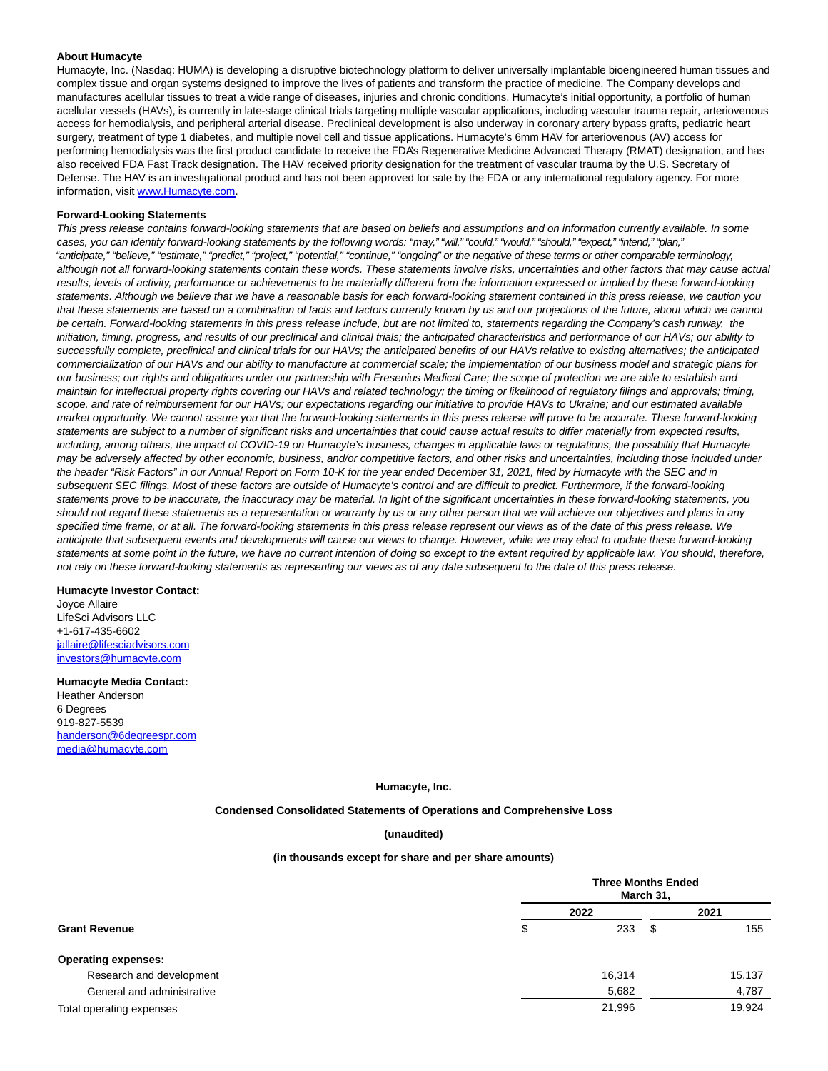### **About Humacyte**

Humacyte, Inc. (Nasdaq: HUMA) is developing a disruptive biotechnology platform to deliver universally implantable bioengineered human tissues and complex tissue and organ systems designed to improve the lives of patients and transform the practice of medicine. The Company develops and manufactures acellular tissues to treat a wide range of diseases, injuries and chronic conditions. Humacyte's initial opportunity, a portfolio of human acellular vessels (HAVs), is currently in late-stage clinical trials targeting multiple vascular applications, including vascular trauma repair, arteriovenous access for hemodialysis, and peripheral arterial disease. Preclinical development is also underway in coronary artery bypass grafts, pediatric heart surgery, treatment of type 1 diabetes, and multiple novel cell and tissue applications. Humacyte's 6mm HAV for arteriovenous (AV) access for performing hemodialysis was the first product candidate to receive the FDA's Regenerative Medicine Advanced Therapy (RMAT) designation, and has also received FDA Fast Track designation. The HAV received priority designation for the treatment of vascular trauma by the U.S. Secretary of Defense. The HAV is an investigational product and has not been approved for sale by the FDA or any international regulatory agency. For more information, visit [www.Humacyte.com.](https://www.globenewswire.com/Tracker?data=jhYFZcrAI4m7EOsYHkq0XxWZ2F2S0xu64fWJNmx1rDyjmuVMIFUpYJf1fsnTYx5f423fgF_hmeECt_IxCv1EfQ==)

## **Forward-Looking Statements**

This press release contains forward-looking statements that are based on beliefs and assumptions and on information currently available. In some cases, you can identify forward-looking statements by the following words: "may," "will," "could," "would," "should," "expect," "intend," "plan," "anticipate," "believe," "estimate," "predict," "project," "potential," "continue," "ongoing" or the negative of these terms or other comparable terminology, although not all forward-looking statements contain these words. These statements involve risks, uncertainties and other factors that may cause actual results, levels of activity, performance or achievements to be materially different from the information expressed or implied by these forward-looking statements. Although we believe that we have a reasonable basis for each forward-looking statement contained in this press release, we caution you that these statements are based on a combination of facts and factors currently known by us and our projections of the future, about which we cannot be certain. Forward-looking statements in this press release include, but are not limited to, statements regarding the Company's cash runway, the initiation, timing, progress, and results of our preclinical and clinical trials; the anticipated characteristics and performance of our HAVs; our ability to successfully complete, preclinical and clinical trials for our HAVs; the anticipated benefits of our HAVs relative to existing alternatives; the anticipated commercialization of our HAVs and our ability to manufacture at commercial scale; the implementation of our business model and strategic plans for our business; our rights and obligations under our partnership with Fresenius Medical Care; the scope of protection we are able to establish and maintain for intellectual property rights covering our HAVs and related technology; the timing or likelihood of regulatory filings and approvals; timing, scope, and rate of reimbursement for our HAVs; our expectations regarding our initiative to provide HAVs to Ukraine; and our estimated available market opportunity. We cannot assure you that the forward-looking statements in this press release will prove to be accurate. These forward-looking statements are subject to a number of significant risks and uncertainties that could cause actual results to differ materially from expected results, including, among others, the impact of COVID-19 on Humacyte's business, changes in applicable laws or regulations, the possibility that Humacyte may be adversely affected by other economic, business, and/or competitive factors, and other risks and uncertainties, including those included under the header "Risk Factors" in our Annual Report on Form 10-K for the year ended December 31, 2021, filed by Humacyte with the SEC and in subsequent SEC filings. Most of these factors are outside of Humacyte's control and are difficult to predict. Furthermore, if the forward-looking statements prove to be inaccurate, the inaccuracy may be material. In light of the significant uncertainties in these forward-looking statements, you should not regard these statements as a representation or warranty by us or any other person that we will achieve our objectives and plans in any specified time frame, or at all. The forward-looking statements in this press release represent our views as of the date of this press release. We anticipate that subsequent events and developments will cause our views to change. However, while we may elect to update these forward-looking statements at some point in the future, we have no current intention of doing so except to the extent required by applicable law. You should, therefore, not rely on these forward-looking statements as representing our views as of any date subsequent to the date of this press release.

### **Humacyte Investor Contact:**

Joyce Allaire LifeSci Advisors LLC +1-617-435-6602 [jallaire@lifesciadvisors.com](https://www.globenewswire.com/Tracker?data=xXYlx8FfM-N3lpXkWHe9movFfX292gXuvhVfDUJ_kh_KY5CKLauNJDlS_NiD5moBa_wNzFOiIJVVdKYByZ5MYb1ehUm766-DdaHrYTWFKHtuOo0mL7LTvFyyB3vRtwUv) [investors@humacyte.com](https://www.globenewswire.com/Tracker?data=dejiJknQCjm_g3vfXTPQ7K6AKG7MwC05jY6OHr7SSZBR1_J39b81v85pd7Gsjrcnr5jPJeiufRtDGS96mOhbPCRpNq08qG8MSqH_0_akziQ=)

#### **Humacyte Media Contact:**

Heather Anderson 6 Degrees 919-827-5539 [handerson@6degreespr.com](https://www.globenewswire.com/Tracker?data=0utrZJGrD-Ul_wOQMJYtAKRxLeYjmXXM8yv366jzmDlPCqS9W7FqxZohUn5ty3quicDWIUa0UCMRvAo9I15DDVy1WhJF0q2CszMbJyc00Bk=) [media@humacyte.com](https://www.globenewswire.com/Tracker?data=WDMDEoadn2wFrT0C6Hq3GMWqsLkAyYpyvZM8DXCbb7CEbickaswoFjsgqX9Kk0jt9ayW1FMzawQW8xxGdsNHzLhVrJF82rv7R-UZoFywdmA=)

### **Humacyte, Inc.**

**Condensed Consolidated Statements of Operations and Comprehensive Loss**

### **(unaudited)**

#### **(in thousands except for share and per share amounts)**

| <b>Grant Revenue</b>       |   | <b>Three Months Ended</b><br>March 31, |      |        |  |
|----------------------------|---|----------------------------------------|------|--------|--|
|                            |   | 2022                                   |      | 2021   |  |
|                            | ง | 233                                    | - \$ | 155    |  |
| <b>Operating expenses:</b> |   |                                        |      |        |  |
| Research and development   |   | 16,314                                 |      | 15,137 |  |
| General and administrative |   | 5,682                                  |      | 4,787  |  |
| Total operating expenses   |   | 21,996                                 |      | 19,924 |  |
|                            |   |                                        |      |        |  |